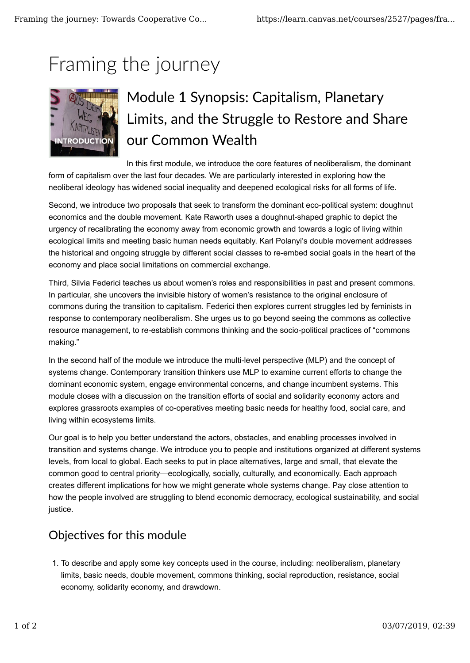# Framing the journey



# Module 1 Synopsis: Capitalism, Planetary Limits, and the Struggle to Restore and Share our Common Wealth

In this first module, we introduce the core features of neoliberalism, the dominant form of capitalism over the last four decades. We are particularly interested in exploring how the neoliberal ideology has widened social inequality and deepened ecological risks for all forms of life.

Second, we introduce two proposals that seek to transform the dominant eco-political system: doughnut economics and the double movement. Kate Raworth uses a doughnut-shaped graphic to depict the urgency of recalibrating the economy away from economic growth and towards a logic of living within ecological limits and meeting basic human needs equitably. Karl Polanyi's double movement addresses the historical and ongoing struggle by different social classes to re-embed social goals in the heart of the economy and place social limitations on commercial exchange.

Third, Silvia Federici teaches us about women's roles and responsibilities in past and present commons. In particular, she uncovers the invisible history of women's resistance to the original enclosure of commons during the transition to capitalism. Federici then explores current struggles led by feminists in response to contemporary neoliberalism. She urges us to go beyond seeing the commons as collective resource management, to re-establish commons thinking and the socio-political practices of "commons making."

In the second half of the module we introduce the multi-level perspective (MLP) and the concept of systems change. Contemporary transition thinkers use MLP to examine current efforts to change the dominant economic system, engage environmental concerns, and change incumbent systems. This module closes with a discussion on the transition efforts of social and solidarity economy actors and explores grassroots examples of co-operatives meeting basic needs for healthy food, social care, and living within ecosystems limits.

Our goal is to help you better understand the actors, obstacles, and enabling processes involved in transition and systems change. We introduce you to people and institutions organized at different systems levels, from local to global. Each seeks to put in place alternatives, large and small, that elevate the common good to central priority—ecologically, socially, culturally, and economically. Each approach creates different implications for how we might generate whole systems change. Pay close attention to how the people involved are struggling to blend economic democracy, ecological sustainability, and social justice.

## Objectives for this module

1. To describe and apply some key concepts used in the course, including: neoliberalism, planetary limits, basic needs, double movement, commons thinking, social reproduction, resistance, social economy, solidarity economy, and drawdown.